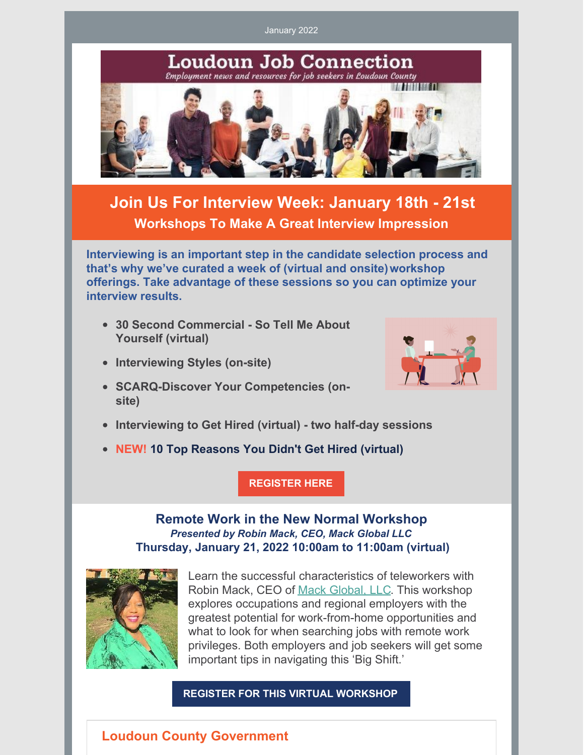January 2022



**offerings. Take advantage of these sessions so you can optimize your interview results.**

- **30 Second Commercial - So Tell Me About Yourself (virtual)**
- **Interviewing Styles (on-site)**
- **SCARQ-Discover Your Competencies (onsite)**



**NEW! 10 Top Reasons You Didn't Get Hired (virtual)**

**[REGISTER](https://interwapp14.loudoun.gov/wrcw/) HERE**





Learn the successful characteristics of teleworkers with Robin Mack, CEO of Mack [Global,](https://mackglobal.com/) LLC. This workshop explores occupations and regional employers with the greatest potential for work-from-home opportunities and what to look for when searching jobs with remote work privileges. Both employers and job seekers will get some important tips in navigating this 'Big Shift.'

## **REGISTER FOR THIS VIRTUAL [WORKSHOP](https://interwapp14.loudoun.gov/wrcw/)**

## **Loudoun County Government**